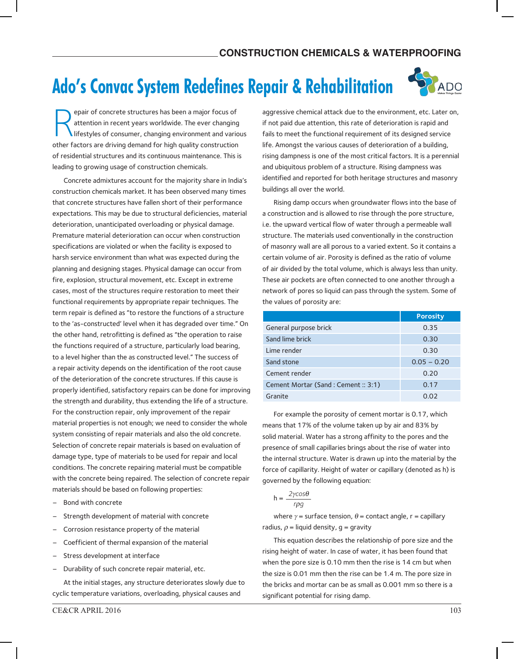## **Ado's Convac System Redefines Repair & Rehabilitation**



R epair of concrete structures has been a major focus of attention in recent years worldwide. The ever changing lifestyles of consumer, changing environment and various other factors are driving demand for high quality construction of residential structures and its continuous maintenance. This is leading to growing usage of construction chemicals.

Concrete admixtures account for the majority share in India's construction chemicals market. It has been observed many times that concrete structures have fallen short of their performance expectations. This may be due to structural deficiencies, material deterioration, unanticipated overloading or physical damage. Premature material deterioration can occur when construction specifications are violated or when the facility is exposed to harsh service environment than what was expected during the planning and designing stages. Physical damage can occur from fire, explosion, structural movement, etc. Except in extreme cases, most of the structures require restoration to meet their functional requirements by appropriate repair techniques. The term repair is defined as "to restore the functions of a structure to the 'as-constructed' level when it has degraded over time." On the other hand, retrofitting is defined as "the operation to raise the functions required of a structure, particularly load bearing, to a level higher than the as constructed level." The success of a repair activity depends on the identification of the root cause of the deterioration of the concrete structures. If this cause is properly identified, satisfactory repairs can be done for improving the strength and durability, thus extending the life of a structure. For the construction repair, only improvement of the repair material properties is not enough; we need to consider the whole system consisting of repair materials and also the old concrete. Selection of concrete repair materials is based on evaluation of damage type, type of materials to be used for repair and local conditions. The concrete repairing material must be compatible with the concrete being repaired. The selection of concrete repair materials should be based on following properties:

- Bond with concrete
- Strength development of material with concrete
- Corrosion resistance property of the material
- Coefficient of thermal expansion of the material
- Stress development at interface
- Durability of such concrete repair material, etc.

At the initial stages, any structure deteriorates slowly due to cyclic temperature variations, overloading, physical causes and

aggressive chemical attack due to the environment, etc. Later on, if not paid due attention, this rate of deterioration is rapid and fails to meet the functional requirement of its designed service life. Amongst the various causes of deterioration of a building, rising dampness is one of the most critical factors. It is a perennial and ubiquitous problem of a structure. Rising dampness was identified and reported for both heritage structures and masonry buildings all over the world.

Rising damp occurs when groundwater flows into the base of a construction and is allowed to rise through the pore structure, i.e. the upward vertical flow of water through a permeable wall structure. The materials used conventionally in the construction of masonry wall are all porous to a varied extent. So it contains a certain volume of air. Porosity is defined as the ratio of volume of air divided by the total volume, which is always less than unity. These air pockets are often connected to one another through a network of pores so liquid can pass through the system. Some of the values of porosity are:

|                                   | <b>Porosity</b> |
|-----------------------------------|-----------------|
| General purpose brick             | 0.35            |
| Sand lime brick                   | 0.30            |
| Lime render                       | 0.30            |
| Sand stone                        | $0.05 - 0.20$   |
| Cement render                     | 0.20            |
| Cement Mortar (Sand: Cement: 3:1) | 0.17            |
| Granite                           | 0.O2            |

For example the porosity of cement mortar is 0.17, which means that 17% of the volume taken up by air and 83% by solid material. Water has a strong affinity to the pores and the presence of small capillaries brings about the rise of water into the internal structure. Water is drawn up into the material by the force of capillarity. Height of water or capillary (denoted as h) is governed by the following equation:

$$
h = \frac{2\gamma\cos\theta}{r\rho g}
$$

where  $\gamma$  = surface tension,  $\theta$  = contact angle, r = capillary radius,  $\rho$  = liquid density, g = gravity

This equation describes the relationship of pore size and the rising height of water. In case of water, it has been found that when the pore size is 0.10 mm then the rise is 14 cm but when the size is 0.01 mm then the rise can be 1.4 m. The pore size in the bricks and mortar can be as small as 0.001 mm so there is a significant potential for rising damp.